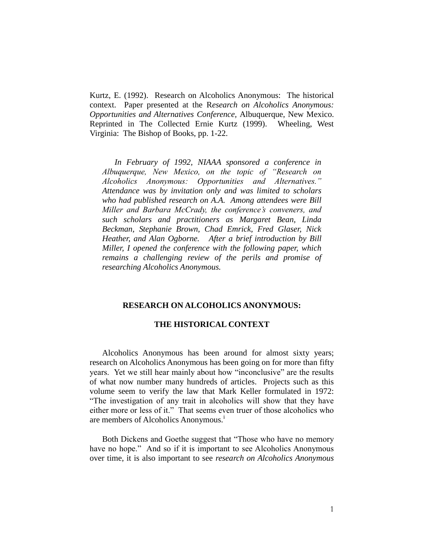Kurtz, E. (1992). Research on Alcoholics Anonymous: The historical context. Paper presented at the R*esearch on Alcoholics Anonymous: Opportunities and Alternatives Conference,* Albuquerque, New Mexico. Reprinted in The Collected Ernie Kurtz (1999). Wheeling, West Virginia: The Bishop of Books, pp. 1-22.

*In February of 1992, NIAAA sponsored a conference in Albuquerque, New Mexico, on the topic of "Research on Alcoholics Anonymous: Opportunities and Alternatives." Attendance was by invitation only and was limited to scholars who had published research on A.A. Among attendees were Bill Miller and Barbara McCrady, the conference's conveners, and such scholars and practitioners as Margaret Bean, Linda Beckman, Stephanie Brown, Chad Emrick, Fred Glaser, Nick Heather, and Alan Ogborne. After a brief introduction by Bill Miller, I opened the conference with the following paper, which remains a challenging review of the perils and promise of researching Alcoholics Anonymous.* 

### **RESEARCH ON ALCOHOLICS ANONYMOUS:**

## **THE HISTORICAL CONTEXT**

Alcoholics Anonymous has been around for almost sixty years; research on Alcoholics Anonymous has been going on for more than fifty years. Yet we still hear mainly about how "inconclusive" are the results of what now number many hundreds of articles. Projects such as this volume seem to verify the law that Mark Keller formulated in 1972: "The investigation of any trait in alcoholics will show that they have either more or less of it." That seems even truer of those alcoholics who are members of Alcoholics Anonymous.<sup>1</sup>

Both Dickens and Goethe suggest that "Those who have no memory have no hope." And so if it is important to see Alcoholics Anonymous over time, it is also important to see *research on Alcoholics Anonymous*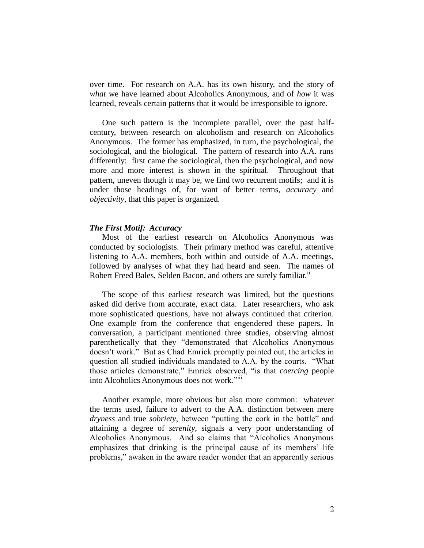over time. For research on A.A. has its own history, and the story of *what* we have learned about Alcoholics Anonymous, and of *how* it was learned, reveals certain patterns that it would be irresponsible to ignore.

One such pattern is the incomplete parallel, over the past halfcentury, between research on alcoholism and research on Alcoholics Anonymous. The former has emphasized, in turn, the psychological, the sociological, and the biological. The pattern of research into A.A. runs differently: first came the sociological, then the psychological, and now more and more interest is shown in the spiritual. Throughout that pattern, uneven though it may be, we find two recurrent motifs; and it is under those headings of, for want of better terms, *accuracy* and *objectivity*, that this paper is organized.

#### *The First Motif: Accuracy*

Most of the earliest research on Alcoholics Anonymous was conducted by sociologists. Their primary method was careful, attentive listening to A.A. members, both within and outside of A.A. meetings, followed by analyses of what they had heard and seen. The names of Robert Freed Bales, Selden Bacon, and others are surely familiar.<sup>11</sup>

The scope of this earliest research was limited, but the questions asked did derive from accurate, exact data. Later researchers, who ask more sophisticated questions, have not always continued that criterion. One example from the conference that engendered these papers. In conversation, a participant mentioned three studies, observing almost parenthetically that they "demonstrated that Alcoholics Anonymous doesn't work." But as Chad Emrick promptly pointed out, the articles in question all studied individuals mandated to A.A. by the courts. "What those articles demonstrate," Emrick observed, "is that *coercing* people into Alcoholics Anonymous does not work."<sup>iii</sup>

Another example, more obvious but also more common: whatever the terms used, failure to advert to the A.A. distinction between mere *dryness* and true *sobriety*, between "putting the cork in the bottle" and attaining a degree of *serenity*, signals a very poor understanding of Alcoholics Anonymous. And so claims that "Alcoholics Anonymous emphasizes that drinking is the principal cause of its members' life problems," awaken in the aware reader wonder that an apparently serious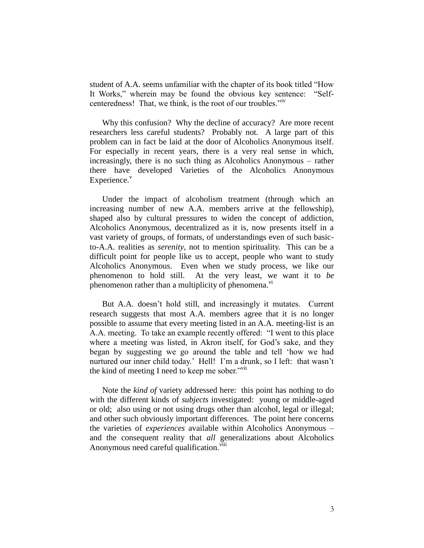student of A.A. seems unfamiliar with the chapter of its book titled "How It Works," wherein may be found the obvious key sentence: "Selfcenteredness! That, we think, is the root of our troubles."iv

Why this confusion? Why the decline of accuracy? Are more recent researchers less careful students? Probably not. A large part of this problem can in fact be laid at the door of Alcoholics Anonymous itself. For especially in recent years, there is a very real sense in which, increasingly, there is no such thing as Alcoholics Anonymous – rather there have developed Varieties of the Alcoholics Anonymous  $Experience.<sup>v</sup>$ 

Under the impact of alcoholism treatment (through which an increasing number of new A.A. members arrive at the fellowship), shaped also by cultural pressures to widen the concept of addiction, Alcoholics Anonymous, decentralized as it is, now presents itself in a vast variety of groups, of formats, of understandings even of such basicto-A.A. realities as *serenity*, not to mention spirituality. This can be a difficult point for people like us to accept, people who want to study Alcoholics Anonymous. Even when we study process, we like our phenomenon to hold still. At the very least, we want it to *be* phenomenon rather than a multiplicity of phenomena. $v<sub>i</sub>$ 

But A.A. doesn't hold still, and increasingly it mutates. Current research suggests that most A.A. members agree that it is no longer possible to assume that every meeting listed in an A.A. meeting-list is an A.A. meeting. To take an example recently offered: "I went to this place where a meeting was listed, in Akron itself, for God's sake, and they began by suggesting we go around the table and tell 'how we had nurtured our inner child today.' Hell! I'm a drunk, so I left: that wasn't the kind of meeting I need to keep me sober." $\frac{1}{10}$ 

Note the *kind of* variety addressed here: this point has nothing to do with the different kinds of *subjects* investigated: young or middle-aged or old; also using or not using drugs other than alcohol, legal or illegal; and other such obviously important differences. The point here concerns the varieties of *experiences* available within Alcoholics Anonymous – and the consequent reality that *all* generalizations about Alcoholics Anonymous need careful qualification.<sup>viii</sup>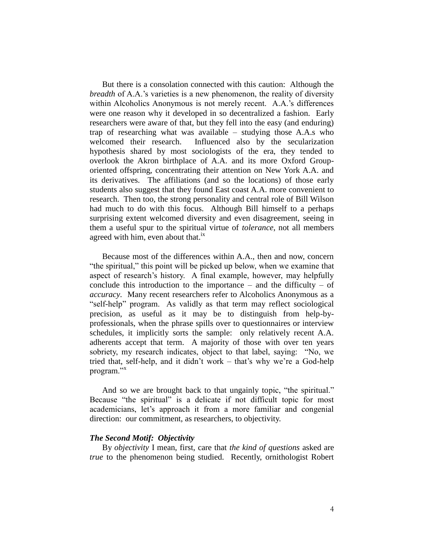But there is a consolation connected with this caution: Although the *breadth* of A.A.'s varieties is a new phenomenon, the reality of diversity within Alcoholics Anonymous is not merely recent. A.A.'s differences were one reason why it developed in so decentralized a fashion. Early researchers were aware of that, but they fell into the easy (and enduring) trap of researching what was available – studying those A.A.s who welcomed their research. Influenced also by the secularization hypothesis shared by most sociologists of the era, they tended to overlook the Akron birthplace of A.A. and its more Oxford Grouporiented offspring, concentrating their attention on New York A.A. and its derivatives. The affiliations (and so the locations) of those early students also suggest that they found East coast A.A. more convenient to research. Then too, the strong personality and central role of Bill Wilson had much to do with this focus. Although Bill himself to a perhaps surprising extent welcomed diversity and even disagreement, seeing in them a useful spur to the spiritual virtue of *tolerance*, not all members agreed with him, even about that.<sup>ix</sup>

Because most of the differences within A.A., then and now, concern "the spiritual," this point will be picked up below, when we examine that aspect of research's history. A final example, however, may helpfully conclude this introduction to the importance – and the difficulty – of *accuracy*. Many recent researchers refer to Alcoholics Anonymous as a "self-help" program. As validly as that term may reflect sociological precision, as useful as it may be to distinguish from help-byprofessionals, when the phrase spills over to questionnaires or interview schedules, it implicitly sorts the sample: only relatively recent A.A. adherents accept that term. A majority of those with over ten years sobriety, my research indicates, object to that label, saying: "No, we tried that, self-help, and it didn't work – that's why we're a God-help program."<sup>x</sup>

And so we are brought back to that ungainly topic, "the spiritual." Because "the spiritual" is a delicate if not difficult topic for most academicians, let's approach it from a more familiar and congenial direction: our commitment, as researchers, to objectivity.

## *The Second Motif: Objectivity*

By *objectivity* I mean, first, care that *the kind of questions* asked are *true* to the phenomenon being studied. Recently, ornithologist Robert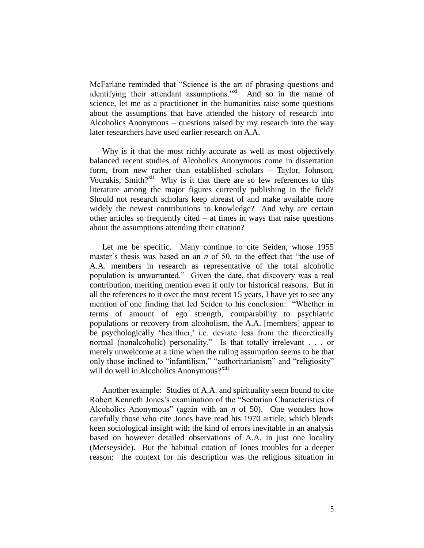McFarlane reminded that "Science is the art of phrasing questions and identifying their attendant assumptions."<sup>xi</sup> And so in the name of science, let me as a practitioner in the humanities raise some questions about the assumptions that have attended the history of research into Alcoholics Anonymous – questions raised by my research into the way later researchers have used earlier research on A.A.

Why is it that the most richly accurate as well as most objectively balanced recent studies of Alcoholics Anonymous come in dissertation form, from new rather than established scholars – Taylor, Johnson, Vourakis, Smith?<sup>xii</sup> Why is it that there are so few references to this literature among the major figures currently publishing in the field? Should not research scholars keep abreast of and make available more widely the newest contributions to knowledge? And why are certain other articles so frequently cited – at times in ways that raise questions about the assumptions attending their citation?

Let me be specific. Many continue to cite Seiden, whose 1955 master's thesis was based on an *n* of 50, to the effect that "the use of A.A. members in research as representative of the total alcoholic population is unwarranted." Given the date, that discovery was a real contribution, meriting mention even if only for historical reasons. But in all the references to it over the most recent 15 years, I have yet to see any mention of one finding that led Seiden to his conclusion: "Whether in terms of amount of ego strength, comparability to psychiatric populations or recovery from alcoholism, the A.A. [members] appear to be psychologically 'healthier,' i.e. deviate less from the theoretically normal (nonalcoholic) personality." Is that totally irrelevant . . . or merely unwelcome at a time when the ruling assumption seems to be that only those inclined to "infantilism," "authoritarianism" and "religiosity" will do well in Alcoholics Anonymous? $X^{x_{11}}$ 

Another example: Studies of A.A. and spirituality seem bound to cite Robert Kenneth Jones's examination of the "Sectarian Characteristics of Alcoholics Anonymous" (again with an *n* of 50). One wonders how carefully those who cite Jones have read his 1970 article, which blends keen sociological insight with the kind of errors inevitable in an analysis based on however detailed observations of A.A. in just one locality (Merseyside). But the habitual citation of Jones troubles for a deeper reason: the context for his description was the religious situation in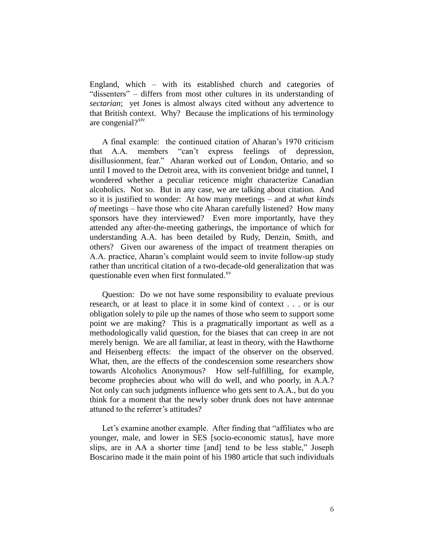England, which – with its established church and categories of "dissenters" – differs from most other cultures in its understanding of *sectarian*; yet Jones is almost always cited without any advertence to that British context. Why? Because the implications of his terminology are congenial? $x$ iv

A final example: the continued citation of Aharan's 1970 criticism that A.A. members "can't express feelings of depression, disillusionment, fear." Aharan worked out of London, Ontario, and so until I moved to the Detroit area, with its convenient bridge and tunnel, I wondered whether a peculiar reticence might characterize Canadian alcoholics. Not so. But in any case, we are talking about citation. And so it is justified to wonder: At how many meetings – and at *what kinds of* meetings – have those who cite Aharan carefully listened? How many sponsors have they interviewed? Even more importantly, have they attended any after-the-meeting gatherings, the importance of which for understanding A.A. has been detailed by Rudy, Denzin, Smith, and others? Given our awareness of the impact of treatment therapies on A.A. practice, Aharan's complaint would seem to invite follow-up study rather than uncritical citation of a two-decade-old generalization that was questionable even when first formulated.<sup>xv</sup>

Question: Do we not have some responsibility to evaluate previous research, or at least to place it in some kind of context . . . or is our obligation solely to pile up the names of those who seem to support some point we are making? This is a pragmatically important as well as a methodologically valid question, for the biases that can creep in are not merely benign. We are all familiar, at least in theory, with the Hawthorne and Heisenberg effects: the impact of the observer on the observed. What, then, are the effects of the condescension some researchers show towards Alcoholics Anonymous? How self-fulfilling, for example, become prophecies about who will do well, and who poorly, in A.A.? Not only can such judgments influence who gets sent to A.A., but do you think for a moment that the newly sober drunk does not have antennae attuned to the referrer's attitudes?

Let's examine another example. After finding that "affiliates who are younger, male, and lower in SES [socio-economic status], have more slips, are in AA a shorter time [and] tend to be less stable," Joseph Boscarino made it the main point of his 1980 article that such individuals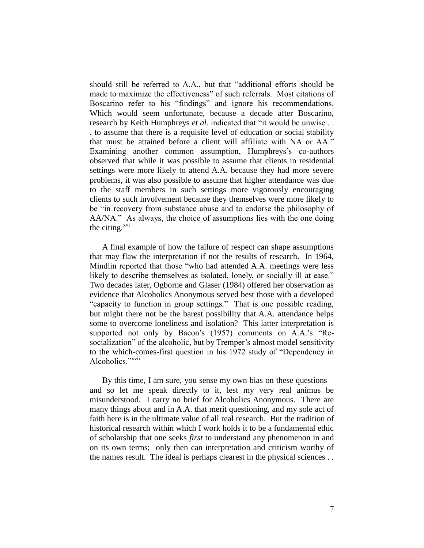should still be referred to A.A., but that "additional efforts should be made to maximize the effectiveness" of such referrals. Most citations of Boscarino refer to his "findings" and ignore his recommendations. Which would seem unfortunate, because a decade after Boscarino, research by Keith Humphreys *et al*. indicated that "it would be unwise . . . to assume that there is a requisite level of education or social stability that must be attained before a client will affiliate with NA or AA." Examining another common assumption, Humphreys's co-authors observed that while it was possible to assume that clients in residential settings were more likely to attend A.A. because they had more severe problems, it was also possible to assume that higher attendance was due to the staff members in such settings more vigorously encouraging clients to such involvement because they themselves were more likely to be "in recovery from substance abuse and to endorse the philosophy of AA/NA." As always, the choice of assumptions lies with the one doing the citing. $^{xvi}$ 

A final example of how the failure of respect can shape assumptions that may flaw the interpretation if not the results of research. In 1964, Mindlin reported that those "who had attended A.A. meetings were less likely to describe themselves as isolated, lonely, or socially ill at ease." Two decades later, Ogborne and Glaser (1984) offered her observation as evidence that Alcoholics Anonymous served best those with a developed "capacity to function in group settings." That is one possible reading, but might there not be the barest possibility that A.A. attendance helps some to overcome loneliness and isolation? This latter interpretation is supported not only by Bacon's (1957) comments on A.A.'s "Resocialization" of the alcoholic, but by Tremper's almost model sensitivity to the which-comes-first question in his 1972 study of "Dependency in Alcoholics."xvii

By this time, I am sure, you sense my own bias on these questions – and so let me speak directly to it, lest my very real animus be misunderstood. I carry no brief for Alcoholics Anonymous. There are many things about and in A.A. that merit questioning, and my sole act of faith here is in the ultimate value of all real research. But the tradition of historical research within which I work holds it to be a fundamental ethic of scholarship that one seeks *first* to understand any phenomenon in and on its own terms; only then can interpretation and criticism worthy of the names result. The ideal is perhaps clearest in the physical sciences . .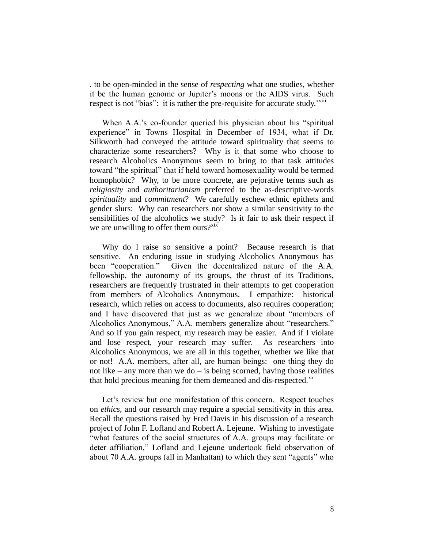. to be open-minded in the sense of *respecting* what one studies, whether it be the human genome or Jupiter's moons or the AIDS virus. Such respect is not "bias": it is rather the pre-requisite for accurate study.<sup>xviii</sup>

When A.A.'s co-founder queried his physician about his "spiritual experience" in Towns Hospital in December of 1934, what if Dr. Silkworth had conveyed the attitude toward spirituality that seems to characterize some researchers? Why is it that some who choose to research Alcoholics Anonymous seem to bring to that task attitudes toward "the spiritual" that if held toward homosexuality would be termed homophobic? Why, to be more concrete, are pejorative terms such as *religiosity* and *authoritarianism* preferred to the as-descriptive-words *spirituality* and *commitment*? We carefully eschew ethnic epithets and gender slurs: Why can researchers not show a similar sensitivity to the sensibilities of the alcoholics we study? Is it fair to ask their respect if we are unwilling to offer them ours? $x^{xx}$ 

Why do I raise so sensitive a point? Because research is that sensitive. An enduring issue in studying Alcoholics Anonymous has been "cooperation." Given the decentralized nature of the A.A. fellowship, the autonomy of its groups, the thrust of its Traditions, researchers are frequently frustrated in their attempts to get cooperation from members of Alcoholics Anonymous. I empathize: historical research, which relies on access to documents, also requires cooperation; and I have discovered that just as we generalize about "members of Alcoholics Anonymous," A.A. members generalize about "researchers." And so if you gain respect, my research may be easier. And if I violate and lose respect, your research may suffer. As researchers into Alcoholics Anonymous, we are all in this together, whether we like that or not! A.A. members, after all, are human beings: one thing they do not like – any more than we do – is being scorned, having those realities that hold precious meaning for them demeaned and dis-respected.<sup>xx</sup>

Let's review but one manifestation of this concern. Respect touches on *ethics*, and our research may require a special sensitivity in this area. Recall the questions raised by Fred Davis in his discussion of a research project of John F. Lofland and Robert A. Lejeune. Wishing to investigate "what features of the social structures of A.A. groups may facilitate or deter affiliation," Lofland and Lejeune undertook field observation of about 70 A.A. groups (all in Manhattan) to which they sent "agents" who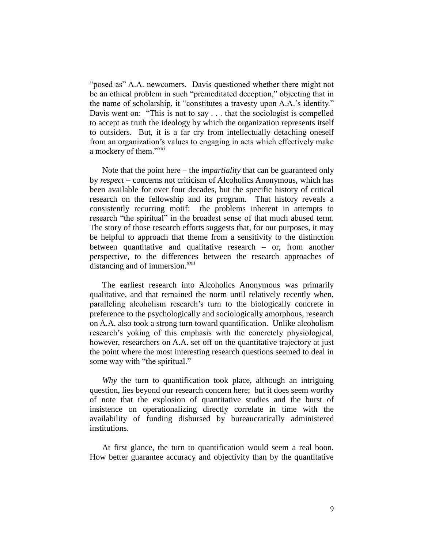"posed as" A.A. newcomers. Davis questioned whether there might not be an ethical problem in such "premeditated deception," objecting that in the name of scholarship, it "constitutes a travesty upon A.A.'s identity." Davis went on: "This is not to say . . . that the sociologist is compelled to accept as truth the ideology by which the organization represents itself to outsiders. But, it is a far cry from intellectually detaching oneself from an organization's values to engaging in acts which effectively make a mockery of them."<sup>xxi</sup>

Note that the point here – the *impartiality* that can be guaranteed only by *respect* – concerns not criticism of Alcoholics Anonymous, which has been available for over four decades, but the specific history of critical research on the fellowship and its program. That history reveals a consistently recurring motif: the problems inherent in attempts to research "the spiritual" in the broadest sense of that much abused term. The story of those research efforts suggests that, for our purposes, it may be helpful to approach that theme from a sensitivity to the distinction between quantitative and qualitative research – or, from another perspective, to the differences between the research approaches of distancing and of immersion.<sup>xxii</sup>

The earliest research into Alcoholics Anonymous was primarily qualitative, and that remained the norm until relatively recently when, paralleling alcoholism research's turn to the biologically concrete in preference to the psychologically and sociologically amorphous, research on A.A. also took a strong turn toward quantification. Unlike alcoholism research's yoking of this emphasis with the concretely physiological, however, researchers on A.A. set off on the quantitative trajectory at just the point where the most interesting research questions seemed to deal in some way with "the spiritual."

*Why* the turn to quantification took place, although an intriguing question, lies beyond our research concern here; but it does seem worthy of note that the explosion of quantitative studies and the burst of insistence on operationalizing directly correlate in time with the availability of funding disbursed by bureaucratically administered institutions.

At first glance, the turn to quantification would seem a real boon. How better guarantee accuracy and objectivity than by the quantitative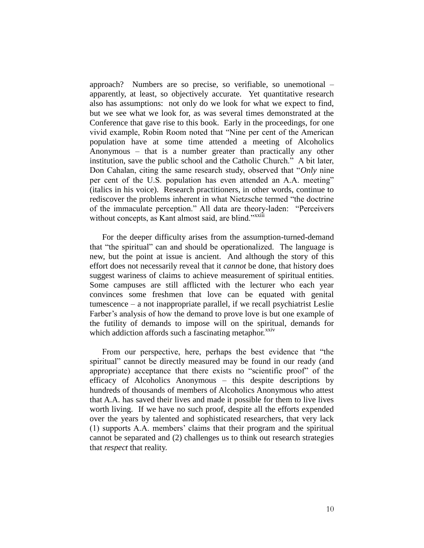approach? Numbers are so precise, so verifiable, so unemotional – apparently, at least, so objectively accurate. Yet quantitative research also has assumptions: not only do we look for what we expect to find, but we see what we look for, as was several times demonstrated at the Conference that gave rise to this book. Early in the proceedings, for one vivid example, Robin Room noted that "Nine per cent of the American population have at some time attended a meeting of Alcoholics Anonymous – that is a number greater than practically any other institution, save the public school and the Catholic Church." A bit later, Don Cahalan, citing the same research study, observed that "*Only* nine per cent of the U.S. population has even attended an A.A. meeting" (italics in his voice). Research practitioners, in other words, continue to rediscover the problems inherent in what Nietzsche termed "the doctrine of the immaculate perception." All data are theory-laden: "Perceivers without concepts, as Kant almost said, are blind."xxiii

For the deeper difficulty arises from the assumption-turned-demand that "the spiritual" can and should be operationalized. The language is new, but the point at issue is ancient. And although the story of this effort does not necessarily reveal that it *cannot* be done, that history does suggest wariness of claims to achieve measurement of spiritual entities. Some campuses are still afflicted with the lecturer who each year convinces some freshmen that love can be equated with genital tumescence – a not inappropriate parallel, if we recall psychiatrist Leslie Farber's analysis of how the demand to prove love is but one example of the futility of demands to impose will on the spiritual, demands for which addiction affords such a fascinating metaphor.<sup>xxiv</sup>

From our perspective, here, perhaps the best evidence that "the spiritual" cannot be directly measured may be found in our ready (and appropriate) acceptance that there exists no "scientific proof" of the efficacy of Alcoholics Anonymous – this despite descriptions by hundreds of thousands of members of Alcoholics Anonymous who attest that A.A. has saved their lives and made it possible for them to live lives worth living. If we have no such proof, despite all the efforts expended over the years by talented and sophisticated researchers, that very lack (1) supports A.A. members' claims that their program and the spiritual cannot be separated and (2) challenges us to think out research strategies that *respect* that reality.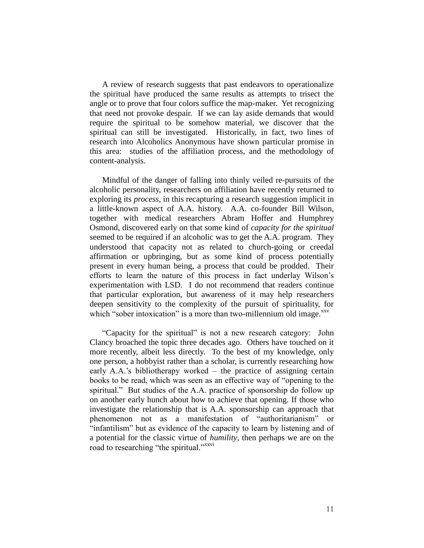A review of research suggests that past endeavors to operationalize the spiritual have produced the same results as attempts to trisect the angle or to prove that four colors suffice the map-maker. Yet recognizing that need not provoke despair. If we can lay aside demands that would require the spiritual to be somehow material, we discover that the spiritual can still be investigated. Historically, in fact, two lines of research into Alcoholics Anonymous have shown particular promise in this area: studies of the affiliation process, and the methodology of content-analysis.

Mindful of the danger of falling into thinly veiled re-pursuits of the alcoholic personality, researchers on affiliation have recently returned to exploring its *process*, in this recapturing a research suggestion implicit in a little-known aspect of A.A. history. A.A. co-founder Bill Wilson, together with medical researchers Abram Hoffer and Humphrey Osmond, discovered early on that some kind of *capacity for the spiritual* seemed to be required if an alcoholic was to get the A.A. program. They understood that capacity not as related to church-going or creedal affirmation or upbringing, but as some kind of process potentially present in every human being, a process that could be prodded. Their efforts to learn the nature of this process in fact underlay Wilson's experimentation with LSD. I do not recommend that readers continue that particular exploration, but awareness of it may help researchers deepen sensitivity to the complexity of the pursuit of spirituality, for which "sober intoxication" is a more than two-millennium old image.<sup>xxv</sup>

"Capacity for the spiritual" is not a new research category: John Clancy broached the topic three decades ago. Others have touched on it more recently, albeit less directly. To the best of my knowledge, only one person, a hobbyist rather than a scholar, is currently researching how early A.A.'s bibliotherapy worked – the practice of assigning certain books to be read, which was seen as an effective way of "opening to the spiritual." But studies of the A.A. practice of sponsorship do follow up on another early hunch about how to achieve that opening. If those who investigate the relationship that is A.A. sponsorship can approach that phenomenon not as a manifestation of "authoritarianism" or "infantilism" but as evidence of the capacity to learn by listening and of a potential for the classic virtue of *humility*, then perhaps we are on the road to researching "the spiritual."<sup>xxvi</sup>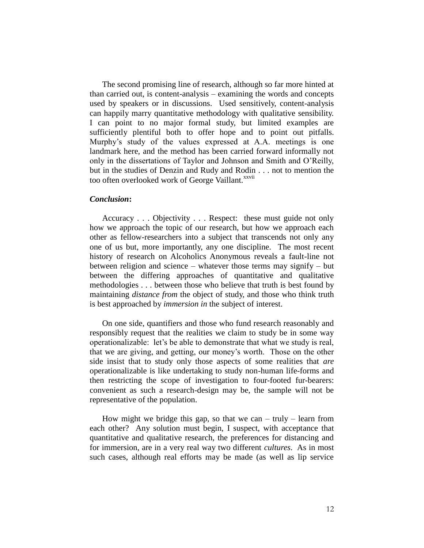The second promising line of research, although so far more hinted at than carried out, is content-analysis – examining the words and concepts used by speakers or in discussions. Used sensitively, content-analysis can happily marry quantitative methodology with qualitative sensibility. I can point to no major formal study, but limited examples are sufficiently plentiful both to offer hope and to point out pitfalls. Murphy's study of the values expressed at A.A. meetings is one landmark here, and the method has been carried forward informally not only in the dissertations of Taylor and Johnson and Smith and O'Reilly, but in the studies of Denzin and Rudy and Rodin . . . not to mention the too often overlooked work of George Vaillant.<sup>xxvii</sup>

## *Conclusion***:**

Accuracy . . . Objectivity . . . Respect: these must guide not only how we approach the topic of our research, but how we approach each other as fellow-researchers into a subject that transcends not only any one of us but, more importantly, any one discipline. The most recent history of research on Alcoholics Anonymous reveals a fault-line not between religion and science – whatever those terms may signify – but between the differing approaches of quantitative and qualitative methodologies . . . between those who believe that truth is best found by maintaining *distance from* the object of study, and those who think truth is best approached by *immersion in* the subject of interest.

On one side, quantifiers and those who fund research reasonably and responsibly request that the realities we claim to study be in some way operationalizable: let's be able to demonstrate that what we study is real, that we are giving, and getting, our money's worth. Those on the other side insist that to study only those aspects of some realities that *are* operationalizable is like undertaking to study non-human life-forms and then restricting the scope of investigation to four-footed fur-bearers: convenient as such a research-design may be, the sample will not be representative of the population.

How might we bridge this gap, so that we can – truly – learn from each other? Any solution must begin, I suspect, with acceptance that quantitative and qualitative research, the preferences for distancing and for immersion, are in a very real way two different *cultures*. As in most such cases, although real efforts may be made (as well as lip service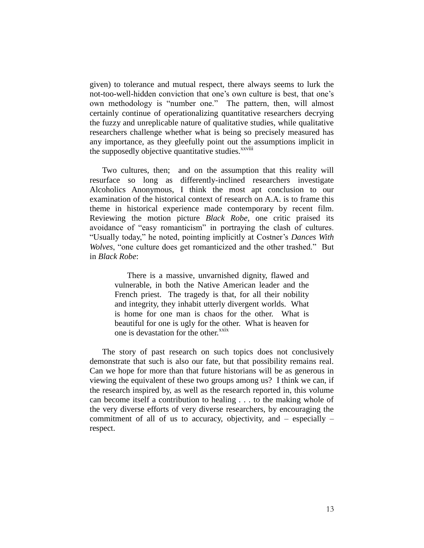given) to tolerance and mutual respect, there always seems to lurk the not-too-well-hidden conviction that one's own culture is best, that one's own methodology is "number one." The pattern, then, will almost certainly continue of operationalizing quantitative researchers decrying the fuzzy and unreplicable nature of qualitative studies, while qualitative researchers challenge whether what is being so precisely measured has any importance, as they gleefully point out the assumptions implicit in the supposedly objective quantitative studies.<sup>xxviii</sup>

Two cultures, then; and on the assumption that this reality will resurface so long as differently-inclined researchers investigate Alcoholics Anonymous, I think the most apt conclusion to our examination of the historical context of research on A.A. is to frame this theme in historical experience made contemporary by recent film. Reviewing the motion picture *Black Robe*, one critic praised its avoidance of "easy romanticism" in portraying the clash of cultures. "Usually today," he noted, pointing implicitly at Costner's *Dances With Wolves*, "one culture does get romanticized and the other trashed." But in *Black Robe*:

> There is a massive, unvarnished dignity, flawed and vulnerable, in both the Native American leader and the French priest. The tragedy is that, for all their nobility and integrity, they inhabit utterly divergent worlds. What is home for one man is chaos for the other. What is beautiful for one is ugly for the other. What is heaven for one is devastation for the other.<sup>xxix</sup>

The story of past research on such topics does not conclusively demonstrate that such is also our fate, but that possibility remains real. Can we hope for more than that future historians will be as generous in viewing the equivalent of these two groups among us? I think we can, if the research inspired by, as well as the research reported in, this volume can become itself a contribution to healing . . . to the making whole of the very diverse efforts of very diverse researchers, by encouraging the commitment of all of us to accuracy, objectivity, and – especially – respect.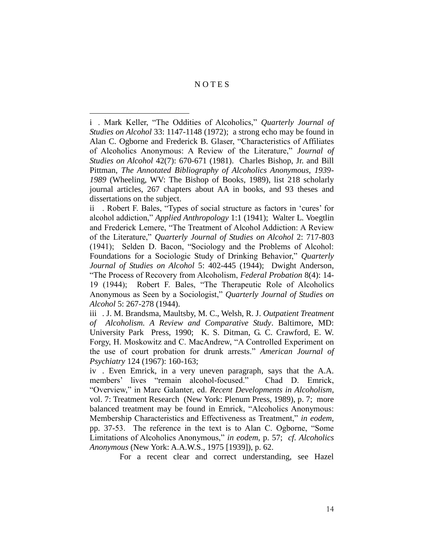# N O T E S

 $\overline{a}$ 

i . Mark Keller, "The Oddities of Alcoholics," *Quarterly Journal of Studies on Alcohol* 33: 1147-1148 (1972); a strong echo may be found in Alan C. Ogborne and Frederick B. Glaser, "Characteristics of Affiliates of Alcoholics Anonymous: A Review of the Literature," *Journal of Studies on Alcohol* 42(7): 670-671 (1981). Charles Bishop, Jr. and Bill Pittman, *The Annotated Bibliography of Alcoholics Anonymous, 1939- 1989* (Wheeling, WV: The Bishop of Books, 1989), list 218 scholarly journal articles, 267 chapters about AA in books, and 93 theses and dissertations on the subject.

ii . Robert F. Bales, "Types of social structure as factors in 'cures' for alcohol addiction," *Applied Anthropology* 1:1 (1941); Walter L. Voegtlin and Frederick Lemere, "The Treatment of Alcohol Addiction: A Review of the Literature," *Quarterly Journal of Studies on Alcohol* 2: 717-803 (1941); Selden D. Bacon, "Sociology and the Problems of Alcohol: Foundations for a Sociologic Study of Drinking Behavior," *Quarterly Journal of Studies on Alcohol* 5: 402-445 (1944); Dwight Anderson, "The Process of Recovery from Alcoholism, *Federal Probation* 8(4): 14- 19 (1944); Robert F. Bales, "The Therapeutic Role of Alcoholics Anonymous as Seen by a Sociologist," *Quarterly Journal of Studies on Alcohol* 5: 267-278 (1944).

iii . J. M. Brandsma, Maultsby, M. C., Welsh, R. J. *Outpatient Treatment of Alcoholism. A Review and Comparative Study*. Baltimore, MD: University Park Press, 1990; K. S. Ditman, G. C. Crawford, E. W. Forgy, H. Moskowitz and C. MacAndrew, "A Controlled Experiment on the use of court probation for drunk arrests." *American Journal of Psychiatry* 124 (1967): 160-163;

iv . Even Emrick, in a very uneven paragraph, says that the A.A. members' lives "remain alcohol-focused." Chad D. Emrick, "Overview," in Marc Galanter, ed. *Recent Developments in Alcoholism*, vol. 7: Treatment Research (New York: Plenum Press, 1989), p. 7; more balanced treatment may be found in Emrick, "Alcoholics Anonymous: Membership Characteristics and Effectiveness as Treatment," *in eodem*, pp. 37-53. The reference in the text is to Alan C. Ogborne, "Some Limitations of Alcoholics Anonymous," *in eodem*, p. 57; *cf*. *Alcoholics Anonymous* (New York: A.A.W.S., 1975 [1939]), p. 62.

For a recent clear and correct understanding, see Hazel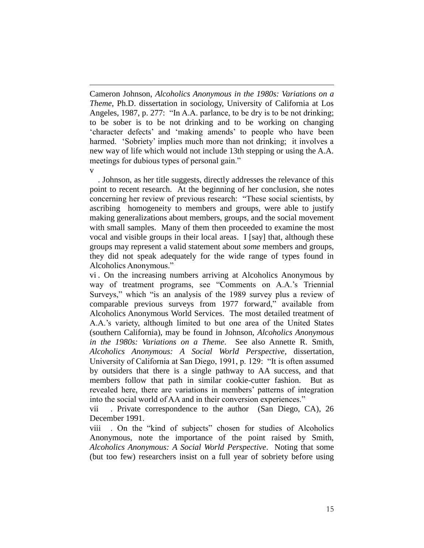-Cameron Johnson, *Alcoholics Anonymous in the 1980s: Variations on a Theme*, Ph.D. dissertation in sociology, University of California at Los Angeles, 1987, p. 277: "In A.A. parlance, to be dry is to be not drinking; to be sober is to be not drinking and to be working on changing 'character defects' and 'making amends' to people who have been harmed. 'Sobriety' implies much more than not drinking; it involves a new way of life which would not include 13th stepping or using the A.A. meetings for dubious types of personal gain." v

. Johnson, as her title suggests, directly addresses the relevance of this point to recent research. At the beginning of her conclusion, she notes concerning her review of previous research: "These social scientists, by ascribing homogeneity to members and groups, were able to justify making generalizations about members, groups, and the social movement with small samples. Many of them then proceeded to examine the most vocal and visible groups in their local areas. I [say] that, although these groups may represent a valid statement about *some* members and groups, they did not speak adequately for the wide range of types found in Alcoholics Anonymous."

vi . On the increasing numbers arriving at Alcoholics Anonymous by way of treatment programs, see "Comments on A.A.'s Triennial Surveys," which "is an analysis of the 1989 survey plus a review of comparable previous surveys from 1977 forward," available from Alcoholics Anonymous World Services. The most detailed treatment of A.A.'s variety, although limited to but one area of the United States (southern California), may be found in Johnson, *Alcoholics Anonymous in the 1980s: Variations on a Theme*. See also Annette R. Smith, *Alcoholics Anonymous: A Social World Perspective*, dissertation, University of California at San Diego, 1991, p. 129: "It is often assumed by outsiders that there is a single pathway to AA success, and that members follow that path in similar cookie-cutter fashion. But as revealed here, there are variations in members' patterns of integration into the social world of AA and in their conversion experiences."

vii . Private correspondence to the author (San Diego, CA), 26 December 1991.

viii . On the "kind of subjects" chosen for studies of Alcoholics Anonymous, note the importance of the point raised by Smith, *Alcoholics Anonymous: A Social World Perspective*. Noting that some (but too few) researchers insist on a full year of sobriety before using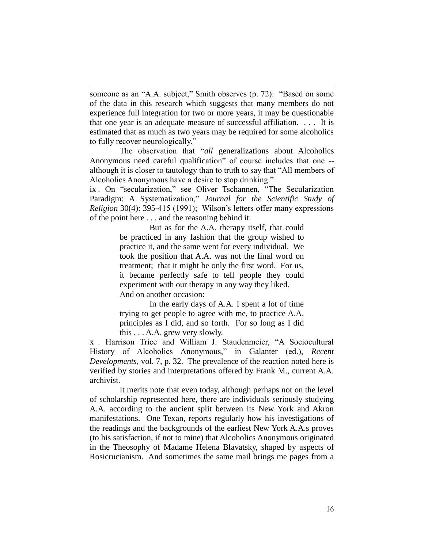someone as an "A.A. subject," Smith observes (p. 72): "Based on some of the data in this research which suggests that many members do not experience full integration for two or more years, it may be questionable that one year is an adequate measure of successful affiliation. . . . It is estimated that as much as two years may be required for some alcoholics to fully recover neurologically."

-

The observation that "*all* generalizations about Alcoholics Anonymous need careful qualification" of course includes that one - although it is closer to tautology than to truth to say that "All members of Alcoholics Anonymous have a desire to stop drinking."

ix . On "secularization," see Oliver Tschannen, "The Secularization Paradigm: A Systematization," *Journal for the Scientific Study of Religion* 30(4): 395-415 (1991); Wilson's letters offer many expressions of the point here . . . and the reasoning behind it:

> But as for the A.A. therapy itself, that could be practiced in any fashion that the group wished to practice it, and the same went for every individual. We took the position that A.A. was not the final word on treatment; that it might be only the first word. For us, it became perfectly safe to tell people they could experiment with our therapy in any way they liked. And on another occasion:

> In the early days of A.A. I spent a lot of time trying to get people to agree with me, to practice A.A. principles as I did, and so forth. For so long as I did this . . . A.A. grew very slowly.

x . Harrison Trice and William J. Staudenmeier, "A Sociocultural History of Alcoholics Anonymous," in Galanter (ed.), *Recent Developments*, vol. 7, p. 32. The prevalence of the reaction noted here is verified by stories and interpretations offered by Frank M., current A.A. archivist.

It merits note that even today, although perhaps not on the level of scholarship represented here, there are individuals seriously studying A.A. according to the ancient split between its New York and Akron manifestations. One Texan, reports regularly how his investigations of the readings and the backgrounds of the earliest New York A.A.s proves (to his satisfaction, if not to mine) that Alcoholics Anonymous originated in the Theosophy of Madame Helena Blavatsky, shaped by aspects of Rosicrucianism. And sometimes the same mail brings me pages from a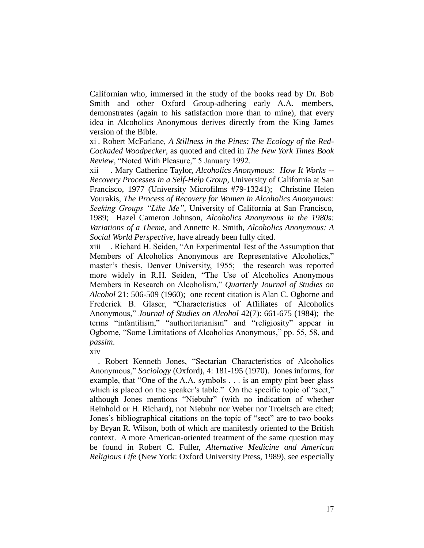Californian who, immersed in the study of the books read by Dr. Bob Smith and other Oxford Group-adhering early A.A. members, demonstrates (again to his satisfaction more than to mine), that every idea in Alcoholics Anonymous derives directly from the King James version of the Bible.

xi . Robert McFarlane, *A Stillness in the Pines: The Ecology of the Red-Cockaded Woodpecker*, as quoted and cited in *The New York Times Book Review*, "Noted With Pleasure," 5 January 1992.

xii . Mary Catherine Taylor, *Alcoholics Anonymous: How It Works -- Recovery Processes in a Self-Help Group*, University of California at San Francisco, 1977 (University Microfilms #79-13241); Christine Helen Vourakis, *The Process of Recovery for Women in Alcoholics Anonymous: Seeking Groups "Like Me"*, University of California at San Francisco, 1989; Hazel Cameron Johnson, *Alcoholics Anonymous in the 1980s: Variations of a Theme*, and Annette R. Smith, *Alcoholics Anonymous: A Social World Perspective*, have already been fully cited.

xiii . Richard H. Seiden, "An Experimental Test of the Assumption that Members of Alcoholics Anonymous are Representative Alcoholics," master's thesis, Denver University, 1955; the research was reported more widely in R.H. Seiden, "The Use of Alcoholics Anonymous Members in Research on Alcoholism," *Quarterly Journal of Studies on Alcohol* 21: 506-509 (1960); one recent citation is Alan C. Ogborne and Frederick B. Glaser, "Characteristics of Affiliates of Alcoholics Anonymous," *Journal of Studies on Alcohol* 42(7): 661-675 (1984); the terms "infantilism," "authoritarianism" and "religiosity" appear in Ogborne, "Some Limitations of Alcoholics Anonymous," pp. 55, 58, and *passim*.

xiv

-

. Robert Kenneth Jones, "Sectarian Characteristics of Alcoholics Anonymous," *Sociology* (Oxford), 4: 181-195 (1970). Jones informs, for example, that "One of the A.A. symbols . . . is an empty pint beer glass which is placed on the speaker's table." On the specific topic of "sect," although Jones mentions "Niebuhr" (with no indication of whether Reinhold or H. Richard), not Niebuhr nor Weber nor Troeltsch are cited; Jones's bibliographical citations on the topic of "sect" are to two books by Bryan R. Wilson, both of which are manifestly oriented to the British context. A more American-oriented treatment of the same question may be found in Robert C. Fuller, *Alternative Medicine and American Religious Life* (New York: Oxford University Press, 1989), see especially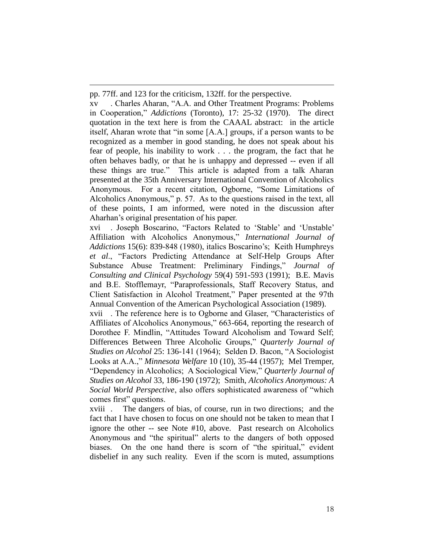pp. 77ff. and 123 for the criticism, 132ff. for the perspective.

-

xv . Charles Aharan, "A.A. and Other Treatment Programs: Problems in Cooperation," *Addictions* (Toronto), 17: 25-32 (1970). The direct quotation in the text here is from the CAAAL abstract: in the article itself, Aharan wrote that "in some [A.A.] groups, if a person wants to be recognized as a member in good standing, he does not speak about his fear of people, his inability to work . . . the program, the fact that he often behaves badly, or that he is unhappy and depressed -- even if all these things are true." This article is adapted from a talk Aharan presented at the 35th Anniversary International Convention of Alcoholics Anonymous. For a recent citation, Ogborne, "Some Limitations of Alcoholics Anonymous," p. 57. As to the questions raised in the text, all of these points, I am informed, were noted in the discussion after Aharhan's original presentation of his paper.

xvi . Joseph Boscarino, "Factors Related to 'Stable' and 'Unstable' Affiliation with Alcoholics Anonymous," *International Journal of Addictions* 15(6): 839-848 (1980), italics Boscarino's; Keith Humphreys *et al*., "Factors Predicting Attendance at Self-Help Groups After Substance Abuse Treatment: Preliminary Findings," *Journal of Consulting and Clinical Psychology* 59(4) 591-593 (1991); B.E. Mavis and B.E. Stofflemayr, "Paraprofessionals, Staff Recovery Status, and Client Satisfaction in Alcohol Treatment," Paper presented at the 97th Annual Convention of the American Psychological Association (1989).

xvii . The reference here is to Ogborne and Glaser, "Characteristics of Affiliates of Alcoholics Anonymous," 663-664, reporting the research of Dorothee F. Mindlin, "Attitudes Toward Alcoholism and Toward Self; Differences Between Three Alcoholic Groups," *Quarterly Journal of Studies on Alcohol* 25: 136-141 (1964); Selden D. Bacon, "A Sociologist Looks at A.A.," *Minnesota Welfare* 10 (10), 35-44 (1957); Mel Tremper, "Dependency in Alcoholics; A Sociological View," *Quarterly Journal of Studies on Alcohol* 33, 186-190 (1972); Smith, *Alcoholics Anonymous: A Social World Perspective*, also offers sophisticated awareness of "which comes first" questions.

xviii . The dangers of bias, of course, run in two directions; and the fact that I have chosen to focus on one should not be taken to mean that I ignore the other -- see Note #10, above. Past research on Alcoholics Anonymous and "the spiritual" alerts to the dangers of both opposed biases. On the one hand there is scorn of "the spiritual," evident disbelief in any such reality. Even if the scorn is muted, assumptions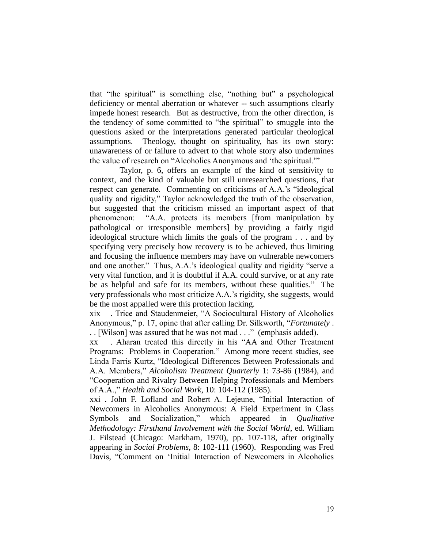that "the spiritual" is something else, "nothing but" a psychological deficiency or mental aberration or whatever -- such assumptions clearly impede honest research. But as destructive, from the other direction, is the tendency of some committed to "the spiritual" to smuggle into the questions asked or the interpretations generated particular theological assumptions. Theology, thought on spirituality, has its own story: unawareness of or failure to advert to that whole story also undermines the value of research on "Alcoholics Anonymous and 'the spiritual.'"

Taylor, p. 6, offers an example of the kind of sensitivity to context, and the kind of valuable but still unresearched questions, that respect can generate. Commenting on criticisms of A.A.'s "ideological quality and rigidity," Taylor acknowledged the truth of the observation, but suggested that the criticism missed an important aspect of that phenomenon: "A.A. protects its members [from manipulation by pathological or irresponsible members] by providing a fairly rigid ideological structure which limits the goals of the program . . . and by specifying very precisely how recovery is to be achieved, thus limiting and focusing the influence members may have on vulnerable newcomers and one another." Thus, A.A.'s ideological quality and rigidity "serve a very vital function, and it is doubtful if A.A. could survive, or at any rate be as helpful and safe for its members, without these qualities." The very professionals who most criticize A.A.'s rigidity, she suggests, would be the most appalled were this protection lacking.

xix . Trice and Staudenmeier, "A Sociocultural History of Alcoholics Anonymous," p. 17, opine that after calling Dr. Silkworth, "*Fortunately* . . . [Wilson] was assured that he was not mad . . ." (emphasis added).

xx . Aharan treated this directly in his "AA and Other Treatment Programs: Problems in Cooperation." Among more recent studies, see Linda Farris Kurtz, "Ideological Differences Between Professionals and A.A. Members," *Alcoholism Treatment Quarterly* 1: 73-86 (1984), and "Cooperation and Rivalry Between Helping Professionals and Members of A.A.," *Health and Social Work*, 10: 104-112 (1985).

xxi . John F. Lofland and Robert A. Lejeune, "Initial Interaction of Newcomers in Alcoholics Anonymous: A Field Experiment in Class Symbols and Socialization," which appeared in *Qualitative Methodology: Firsthand Involvement with the Social World*, ed. William J. Filstead (Chicago: Markham, 1970), pp. 107-118, after originally appearing in *Social Problems*, 8: 102-111 (1960). Responding was Fred Davis, "Comment on 'Initial Interaction of Newcomers in Alcoholics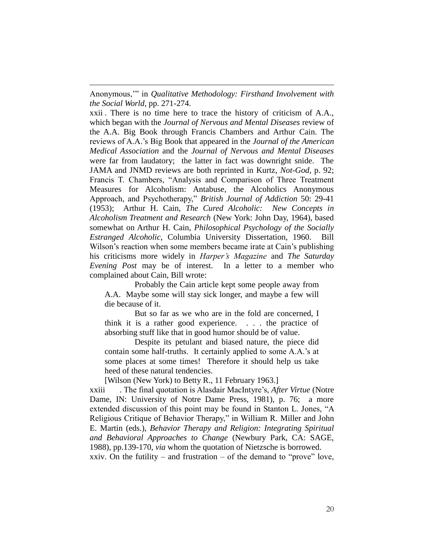Anonymous,'" in *Qualitative Methodology: Firsthand Involvement with the Social World*, pp. 271-274.

-

xxii . There is no time here to trace the history of criticism of A.A., which began with the *Journal of Nervous and Mental Diseases* review of the A.A. Big Book through Francis Chambers and Arthur Cain. The reviews of A.A.'s Big Book that appeared in the *Journal of the American Medical Association* and the *Journal of Nervous and Mental Diseases* were far from laudatory; the latter in fact was downright snide. The JAMA and JNMD reviews are both reprinted in Kurtz, *Not-God*, p. 92; Francis T. Chambers, "Analysis and Comparison of Three Treatment Measures for Alcoholism: Antabuse, the Alcoholics Anonymous Approach, and Psychotherapy," *British Journal of Addiction* 50: 29-41 (1953); Arthur H. Cain, *The Cured Alcoholic: New Concepts in Alcoholism Treatment and Research* (New York: John Day, 1964), based somewhat on Arthur H. Cain, *Philosophical Psychology of the Socially Estranged Alcoholic*, Columbia University Dissertation, 1960. Bill Wilson's reaction when some members became irate at Cain's publishing his criticisms more widely in *Harper's Magazine* and *The Saturday Evening Post* may be of interest. In a letter to a member who complained about Cain, Bill wrote:

Probably the Cain article kept some people away from A.A. Maybe some will stay sick longer, and maybe a few will die because of it.

But so far as we who are in the fold are concerned, I think it is a rather good experience. . . . the practice of absorbing stuff like that in good humor should be of value.

Despite its petulant and biased nature, the piece did contain some half-truths. It certainly applied to some A.A.'s at some places at some times! Therefore it should help us take heed of these natural tendencies.

[Wilson (New York) to Betty R., 11 February 1963.]

xxiii . The final quotation is Alasdair MacIntyre's, *After Virtue* (Notre Dame, IN: University of Notre Dame Press, 1981), p. 76; a more extended discussion of this point may be found in Stanton L. Jones, "A Religious Critique of Behavior Therapy," in William R. Miller and John E. Martin (eds.), *Behavior Therapy and Religion: Integrating Spiritual and Behavioral Approaches to Change* (Newbury Park, CA: SAGE, 1988), pp.139-170, *via* whom the quotation of Nietzsche is borrowed.

xxiv. On the futility – and frustration – of the demand to "prove" love,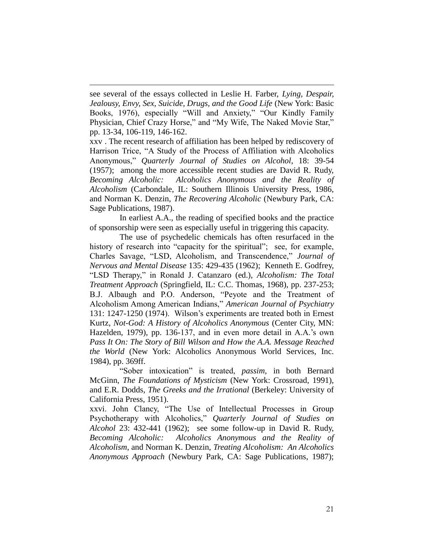see several of the essays collected in Leslie H. Farber, *Lying, Despair, Jealousy, Envy, Sex, Suicide, Drugs, and the Good Life* (New York: Basic Books, 1976), especially "Will and Anxiety," "Our Kindly Family Physician, Chief Crazy Horse," and "My Wife, The Naked Movie Star," pp. 13-34, 106-119, 146-162.

-

xxv . The recent research of affiliation has been helped by rediscovery of Harrison Trice, "A Study of the Process of Affiliation with Alcoholics Anonymous," *Quarterly Journal of Studies on Alcohol*, 18: 39-54 (1957); among the more accessible recent studies are David R. Rudy, *Becoming Alcoholic: Alcoholics Anonymous and the Reality of Alcoholism* (Carbondale, IL: Southern Illinois University Press, 1986, and Norman K. Denzin, *The Recovering Alcoholic* (Newbury Park, CA: Sage Publications, 1987).

In earliest A.A., the reading of specified books and the practice of sponsorship were seen as especially useful in triggering this capacity.

The use of psychedelic chemicals has often resurfaced in the history of research into "capacity for the spiritual"; see, for example, Charles Savage, "LSD, Alcoholism, and Transcendence," *Journal of Nervous and Mental Disease* 135: 429-435 (1962); Kenneth E. Godfrey, "LSD Therapy," in Ronald J. Catanzaro (ed.), *Alcoholism: The Total Treatment Approach* (Springfield, IL: C.C. Thomas, 1968), pp. 237-253; B.J. Albaugh and P.O. Anderson, "Peyote and the Treatment of Alcoholism Among American Indians," *American Journal of Psychiatry* 131: 1247-1250 (1974). Wilson's experiments are treated both in Ernest Kurtz, *Not-God: A History of Alcoholics Anonymous* (Center City, MN: Hazelden, 1979), pp. 136-137, and in even more detail in A.A.'s own *Pass It On: The Story of Bill Wilson and How the A.A. Message Reached the World* (New York: Alcoholics Anonymous World Services, Inc. 1984), pp. 369ff.

"Sober intoxication" is treated, *passim*, in both Bernard McGinn, *The Foundations of Mysticism* (New York: Crossroad, 1991), and E.R. Dodds, *The Greeks and the Irrational* (Berkeley: University of California Press, 1951).

xxvi. John Clancy, "The Use of Intellectual Processes in Group Psychotherapy with Alcoholics," *Quarterly Journal of Studies on Alcohol* 23: 432-441 (1962); see some follow-up in David R. Rudy, *Becoming Alcoholic: Alcoholics Anonymous and the Reality of Alcoholism*, and Norman K. Denzin, *Treating Alcoholism: An Alcoholics Anonymous Approach* (Newbury Park, CA: Sage Publications, 1987);